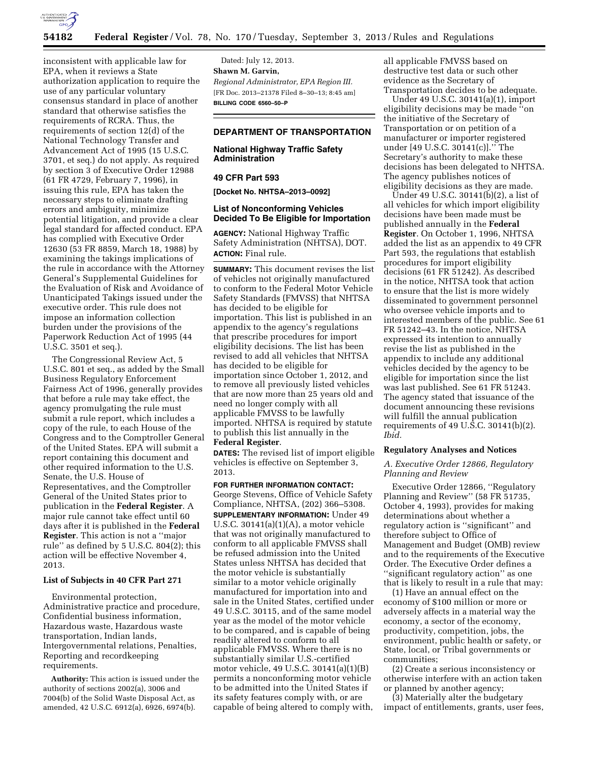

inconsistent with applicable law for EPA, when it reviews a State authorization application to require the use of any particular voluntary consensus standard in place of another standard that otherwise satisfies the requirements of RCRA. Thus, the requirements of section 12(d) of the National Technology Transfer and Advancement Act of 1995 (15 U.S.C. 3701, et seq.) do not apply. As required by section 3 of Executive Order 12988 (61 FR 4729, February 7, 1996), in issuing this rule, EPA has taken the necessary steps to eliminate drafting errors and ambiguity, minimize potential litigation, and provide a clear legal standard for affected conduct. EPA has complied with Executive Order 12630 (53 FR 8859, March 18, 1988) by examining the takings implications of the rule in accordance with the Attorney General's Supplemental Guidelines for the Evaluation of Risk and Avoidance of Unanticipated Takings issued under the executive order. This rule does not impose an information collection burden under the provisions of the Paperwork Reduction Act of 1995 (44 U.S.C. 3501 et seq.).

The Congressional Review Act, 5 U.S.C. 801 et seq., as added by the Small Business Regulatory Enforcement Fairness Act of 1996, generally provides that before a rule may take effect, the agency promulgating the rule must submit a rule report, which includes a copy of the rule, to each House of the Congress and to the Comptroller General of the United States. EPA will submit a report containing this document and other required information to the U.S. Senate, the U.S. House of Representatives, and the Comptroller General of the United States prior to publication in the **Federal Register**. A major rule cannot take effect until 60 days after it is published in the **Federal Register**. This action is not a ''major rule'' as defined by 5 U.S.C. 804(2); this action will be effective November 4, 2013.

#### **List of Subjects in 40 CFR Part 271**

Environmental protection, Administrative practice and procedure, Confidential business information, Hazardous waste, Hazardous waste transportation, Indian lands, Intergovernmental relations, Penalties, Reporting and recordkeeping requirements.

**Authority:** This action is issued under the authority of sections 2002(a), 3006 and 7004(b) of the Solid Waste Disposal Act, as amended, 42 U.S.C. 6912(a), 6926, 6974(b).

Dated: July 12, 2013. **Shawn M. Garvin,**  *Regional Administrator, EPA Region III.*  [FR Doc. 2013–21378 Filed 8–30–13; 8:45 am] **BILLING CODE 6560–50–P** 

# **DEPARTMENT OF TRANSPORTATION**

# **National Highway Traffic Safety Administration**

#### **49 CFR Part 593**

**[Docket No. NHTSA–2013–0092]** 

### **List of Nonconforming Vehicles Decided To Be Eligible for Importation**

**AGENCY:** National Highway Traffic Safety Administration (NHTSA), DOT. **ACTION:** Final rule.

**SUMMARY:** This document revises the list of vehicles not originally manufactured to conform to the Federal Motor Vehicle Safety Standards (FMVSS) that NHTSA has decided to be eligible for importation. This list is published in an appendix to the agency's regulations that prescribe procedures for import eligibility decisions. The list has been revised to add all vehicles that NHTSA has decided to be eligible for importation since October 1, 2012, and to remove all previously listed vehicles that are now more than 25 years old and need no longer comply with all applicable FMVSS to be lawfully imported. NHTSA is required by statute to publish this list annually in the **Federal Register**.

**DATES:** The revised list of import eligible vehicles is effective on September 3, 2013.

**FOR FURTHER INFORMATION CONTACT:**  George Stevens, Office of Vehicle Safety Compliance, NHTSA, (202) 366–5308. **SUPPLEMENTARY INFORMATION:** Under 49 U.S.C. 30141(a)(1)(A), a motor vehicle that was not originally manufactured to conform to all applicable FMVSS shall be refused admission into the United States unless NHTSA has decided that the motor vehicle is substantially similar to a motor vehicle originally manufactured for importation into and sale in the United States, certified under 49 U.S.C. 30115, and of the same model year as the model of the motor vehicle to be compared, and is capable of being readily altered to conform to all applicable FMVSS. Where there is no substantially similar U.S.-certified motor vehicle, 49 U.S.C. 30141(a)(1)(B) permits a nonconforming motor vehicle to be admitted into the United States if its safety features comply with, or are capable of being altered to comply with,

all applicable FMVSS based on destructive test data or such other evidence as the Secretary of Transportation decides to be adequate.

Under 49 U.S.C. 30141(a)(1), import eligibility decisions may be made ''on the initiative of the Secretary of Transportation or on petition of a manufacturer or importer registered under [49 U.S.C. 30141(c)].'' The Secretary's authority to make these decisions has been delegated to NHTSA. The agency publishes notices of eligibility decisions as they are made.

Under 49 U.S.C. 30141(b)(2), a list of all vehicles for which import eligibility decisions have been made must be published annually in the **Federal Register**. On October 1, 1996, NHTSA added the list as an appendix to 49 CFR Part 593, the regulations that establish procedures for import eligibility decisions (61 FR 51242). As described in the notice, NHTSA took that action to ensure that the list is more widely disseminated to government personnel who oversee vehicle imports and to interested members of the public. See 61 FR 51242–43. In the notice, NHTSA expressed its intention to annually revise the list as published in the appendix to include any additional vehicles decided by the agency to be eligible for importation since the list was last published. See 61 FR 51243. The agency stated that issuance of the document announcing these revisions will fulfill the annual publication requirements of 49 U.S.C. 30141(b)(2). *Ibid.* 

# **Regulatory Analyses and Notices**

*A. Executive Order 12866, Regulatory Planning and Review* 

Executive Order 12866, ''Regulatory Planning and Review'' (58 FR 51735, October 4, 1993), provides for making determinations about whether a regulatory action is ''significant'' and therefore subject to Office of Management and Budget (OMB) review and to the requirements of the Executive Order. The Executive Order defines a ''significant regulatory action'' as one that is likely to result in a rule that may:

(1) Have an annual effect on the economy of \$100 million or more or adversely affects in a material way the economy, a sector of the economy, productivity, competition, jobs, the environment, public health or safety, or State, local, or Tribal governments or communities;

(2) Create a serious inconsistency or otherwise interfere with an action taken or planned by another agency;

(3) Materially alter the budgetary impact of entitlements, grants, user fees,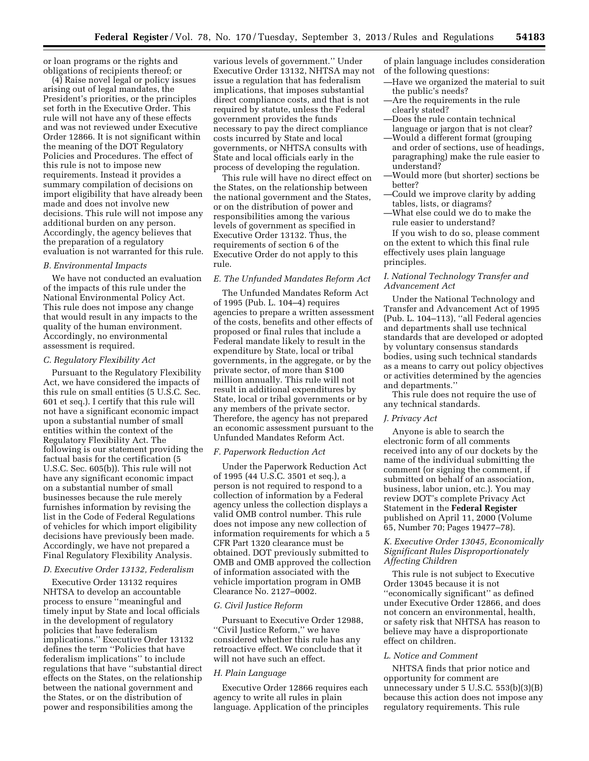or loan programs or the rights and obligations of recipients thereof; or

(4) Raise novel legal or policy issues arising out of legal mandates, the President's priorities, or the principles set forth in the Executive Order. This rule will not have any of these effects and was not reviewed under Executive Order 12866. It is not significant within the meaning of the DOT Regulatory Policies and Procedures. The effect of this rule is not to impose new requirements. Instead it provides a summary compilation of decisions on import eligibility that have already been made and does not involve new decisions. This rule will not impose any additional burden on any person. Accordingly, the agency believes that the preparation of a regulatory evaluation is not warranted for this rule.

#### *B. Environmental Impacts*

We have not conducted an evaluation of the impacts of this rule under the National Environmental Policy Act. This rule does not impose any change that would result in any impacts to the quality of the human environment. Accordingly, no environmental assessment is required.

#### *C. Regulatory Flexibility Act*

Pursuant to the Regulatory Flexibility Act, we have considered the impacts of this rule on small entities (5 U.S.C. Sec. 601 et seq.). I certify that this rule will not have a significant economic impact upon a substantial number of small entities within the context of the Regulatory Flexibility Act. The following is our statement providing the factual basis for the certification (5 U.S.C. Sec. 605(b)). This rule will not have any significant economic impact on a substantial number of small businesses because the rule merely furnishes information by revising the list in the Code of Federal Regulations of vehicles for which import eligibility decisions have previously been made. Accordingly, we have not prepared a Final Regulatory Flexibility Analysis.

# *D. Executive Order 13132, Federalism*

Executive Order 13132 requires NHTSA to develop an accountable process to ensure ''meaningful and timely input by State and local officials in the development of regulatory policies that have federalism implications.'' Executive Order 13132 defines the term ''Policies that have federalism implications'' to include regulations that have ''substantial direct effects on the States, on the relationship between the national government and the States, or on the distribution of power and responsibilities among the

various levels of government.'' Under Executive Order 13132, NHTSA may not issue a regulation that has federalism implications, that imposes substantial direct compliance costs, and that is not required by statute, unless the Federal government provides the funds necessary to pay the direct compliance costs incurred by State and local governments, or NHTSA consults with State and local officials early in the process of developing the regulation.

This rule will have no direct effect on the States, on the relationship between the national government and the States, or on the distribution of power and responsibilities among the various levels of government as specified in Executive Order 13132. Thus, the requirements of section 6 of the Executive Order do not apply to this rule.

### *E. The Unfunded Mandates Reform Act*

The Unfunded Mandates Reform Act of 1995 (Pub. L. 104–4) requires agencies to prepare a written assessment of the costs, benefits and other effects of proposed or final rules that include a Federal mandate likely to result in the expenditure by State, local or tribal governments, in the aggregate, or by the private sector, of more than \$100 million annually. This rule will not result in additional expenditures by State, local or tribal governments or by any members of the private sector. Therefore, the agency has not prepared an economic assessment pursuant to the Unfunded Mandates Reform Act.

### *F. Paperwork Reduction Act*

Under the Paperwork Reduction Act of 1995 (44 U.S.C. 3501 et seq.), a person is not required to respond to a collection of information by a Federal agency unless the collection displays a valid OMB control number. This rule does not impose any new collection of information requirements for which a 5 CFR Part 1320 clearance must be obtained. DOT previously submitted to OMB and OMB approved the collection of information associated with the vehicle importation program in OMB Clearance No. 2127–0002.

#### *G. Civil Justice Reform*

Pursuant to Executive Order 12988, ''Civil Justice Reform,'' we have considered whether this rule has any retroactive effect. We conclude that it will not have such an effect.

#### *H. Plain Language*

Executive Order 12866 requires each agency to write all rules in plain language. Application of the principles

of plain language includes consideration of the following questions:

- —Have we organized the material to suit the public's needs?
- —Are the requirements in the rule clearly stated?
- —Does the rule contain technical
- language or jargon that is not clear? —Would a different format (grouping and order of sections, use of headings, paragraphing) make the rule easier to understand?
- —Would more (but shorter) sections be better?
- —Could we improve clarity by adding tables, lists, or diagrams?
- —What else could we do to make the rule easier to understand?

If you wish to do so, please comment on the extent to which this final rule effectively uses plain language principles.

## *I. National Technology Transfer and Advancement Act*

Under the National Technology and Transfer and Advancement Act of 1995 (Pub. L. 104–113), ''all Federal agencies and departments shall use technical standards that are developed or adopted by voluntary consensus standards bodies, using such technical standards as a means to carry out policy objectives or activities determined by the agencies and departments.''

This rule does not require the use of any technical standards.

#### *J. Privacy Act*

Anyone is able to search the electronic form of all comments received into any of our dockets by the name of the individual submitting the comment (or signing the comment, if submitted on behalf of an association, business, labor union, etc.). You may review DOT's complete Privacy Act Statement in the **Federal Register**  published on April 11, 2000 (Volume 65, Number 70; Pages 19477–78).

# *K. Executive Order 13045, Economically Significant Rules Disproportionately Affecting Children*

This rule is not subject to Executive Order 13045 because it is not ''economically significant'' as defined under Executive Order 12866, and does not concern an environmental, health, or safety risk that NHTSA has reason to believe may have a disproportionate effect on children.

#### *L. Notice and Comment*

NHTSA finds that prior notice and opportunity for comment are unnecessary under 5 U.S.C. 553(b)(3)(B) because this action does not impose any regulatory requirements. This rule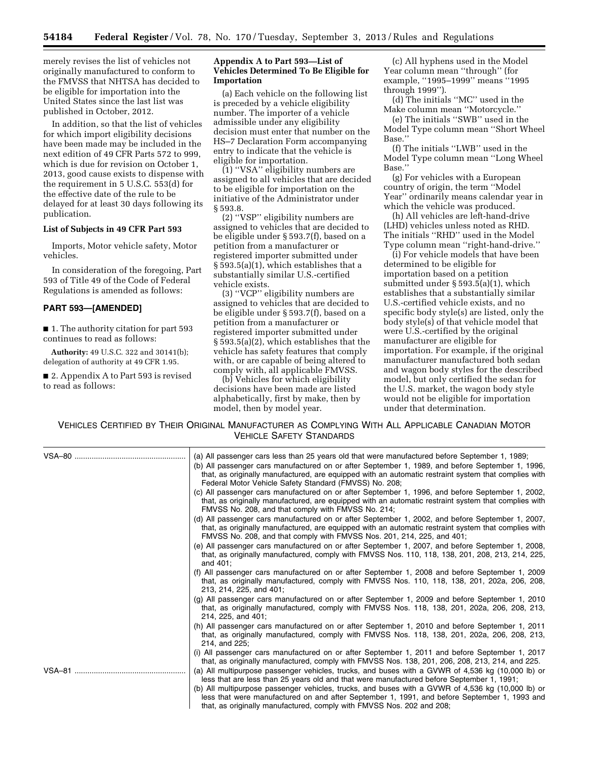merely revises the list of vehicles not originally manufactured to conform to the FMVSS that NHTSA has decided to be eligible for importation into the United States since the last list was published in October, 2012.

In addition, so that the list of vehicles for which import eligibility decisions have been made may be included in the next edition of 49 CFR Parts 572 to 999, which is due for revision on October 1, 2013, good cause exists to dispense with the requirement in 5 U.S.C. 553(d) for the effective date of the rule to be delayed for at least 30 days following its publication.

### **List of Subjects in 49 CFR Part 593**

Imports, Motor vehicle safety, Motor vehicles.

In consideration of the foregoing, Part 593 of Title 49 of the Code of Federal Regulations is amended as follows:

### **PART 593—[AMENDED]**

■ 1. The authority citation for part 593 continues to read as follows:

**Authority:** 49 U.S.C. 322 and 30141(b); delegation of authority at 49 CFR 1.95.

■ 2. Appendix A to Part 593 is revised to read as follows:

# **Appendix A to Part 593—List of Vehicles Determined To Be Eligible for Importation**

(a) Each vehicle on the following list is preceded by a vehicle eligibility number. The importer of a vehicle admissible under any eligibility decision must enter that number on the HS–7 Declaration Form accompanying entry to indicate that the vehicle is eligible for importation.

(1) ''VSA'' eligibility numbers are assigned to all vehicles that are decided to be eligible for importation on the initiative of the Administrator under § 593.8.

(2) ''VSP'' eligibility numbers are assigned to vehicles that are decided to be eligible under § 593.7(f), based on a petition from a manufacturer or registered importer submitted under § 593.5(a)(1), which establishes that a substantially similar U.S.-certified vehicle exists.

(3) ''VCP'' eligibility numbers are assigned to vehicles that are decided to be eligible under § 593.7(f), based on a petition from a manufacturer or registered importer submitted under § 593.5(a)(2), which establishes that the vehicle has safety features that comply with, or are capable of being altered to comply with, all applicable FMVSS.

(b) Vehicles for which eligibility decisions have been made are listed alphabetically, first by make, then by model, then by model year.

(c) All hyphens used in the Model Year column mean ''through'' (for example, ''1995–1999'' means ''1995 through 1999'').

(d) The initials ''MC'' used in the Make column mean ''Motorcycle.''

(e) The initials ''SWB'' used in the Model Type column mean ''Short Wheel Base.''

(f) The initials ''LWB'' used in the Model Type column mean ''Long Wheel Base.''

(g) For vehicles with a European country of origin, the term ''Model Year'' ordinarily means calendar year in which the vehicle was produced.

(h) All vehicles are left-hand-drive (LHD) vehicles unless noted as RHD. The initials ''RHD'' used in the Model Type column mean ''right-hand-drive.''

(i) For vehicle models that have been determined to be eligible for importation based on a petition submitted under § 593.5(a)(1), which establishes that a substantially similar U.S.-certified vehicle exists, and no specific body style(s) are listed, only the body style(s) of that vehicle model that were U.S.-certified by the original manufacturer are eligible for importation. For example, if the original manufacturer manufactured both sedan and wagon body styles for the described model, but only certified the sedan for the U.S. market, the wagon body style would not be eligible for importation under that determination.

VEHICLES CERTIFIED BY THEIR ORIGINAL MANUFACTURER AS COMPLYING WITH ALL APPLICABLE CANADIAN MOTOR VEHICLE SAFETY STANDARDS

| (a) All passenger cars less than 25 years old that were manufactured before September 1, 1989;<br>(b) All passenger cars manufactured on or after September 1, 1989, and before September 1, 1996,<br>that, as originally manufactured, are equipped with an automatic restraint system that complies with<br>Federal Motor Vehicle Safety Standard (FMVSS) No. 208; |
|----------------------------------------------------------------------------------------------------------------------------------------------------------------------------------------------------------------------------------------------------------------------------------------------------------------------------------------------------------------------|
| (c) All passenger cars manufactured on or after September 1, 1996, and before September 1, 2002,<br>that, as originally manufactured, are equipped with an automatic restraint system that complies with<br>FMVSS No. 208, and that comply with FMVSS No. 214;                                                                                                       |
| (d) All passenger cars manufactured on or after September 1, 2002, and before September 1, 2007,<br>that, as originally manufactured, are equipped with an automatic restraint system that complies with<br>FMVSS No. 208, and that comply with FMVSS Nos. 201, 214, 225, and 401;                                                                                   |
| (e) All passenger cars manufactured on or after September 1, 2007, and before September 1, 2008,<br>that, as originally manufactured, comply with FMVSS Nos. 110, 118, 138, 201, 208, 213, 214, 225,<br>and 401;                                                                                                                                                     |
| (f) All passenger cars manufactured on or after September 1, 2008 and before September 1, 2009<br>that, as originally manufactured, comply with FMVSS Nos. 110, 118, 138, 201, 202a, 206, 208,<br>213, 214, 225, and 401;                                                                                                                                            |
| (g) All passenger cars manufactured on or after September 1, 2009 and before September 1, 2010<br>that, as originally manufactured, comply with FMVSS Nos. 118, 138, 201, 202a, 206, 208, 213,<br>214, 225, and 401;                                                                                                                                                 |
| (h) All passenger cars manufactured on or after September 1, 2010 and before September 1, 2011<br>that, as originally manufactured, comply with FMVSS Nos. 118, 138, 201, 202a, 206, 208, 213,<br>214, and 225;                                                                                                                                                      |
| (i) All passenger cars manufactured on or after September 1, 2011 and before September 1, 2017<br>that, as originally manufactured, comply with FMVSS Nos. 138, 201, 206, 208, 213, 214, and 225.                                                                                                                                                                    |
| (a) All multipurpose passenger vehicles, trucks, and buses with a GVWR of 4,536 kg (10,000 lb) or<br>less that are less than 25 years old and that were manufactured before September 1, 1991;                                                                                                                                                                       |
| (b) All multipurpose passenger vehicles, trucks, and buses with a GVWR of 4,536 kg (10,000 lb) or<br>less that were manufactured on and after September 1, 1991, and before September 1, 1993 and<br>that, as originally manufactured, comply with FMVSS Nos. 202 and 208;                                                                                           |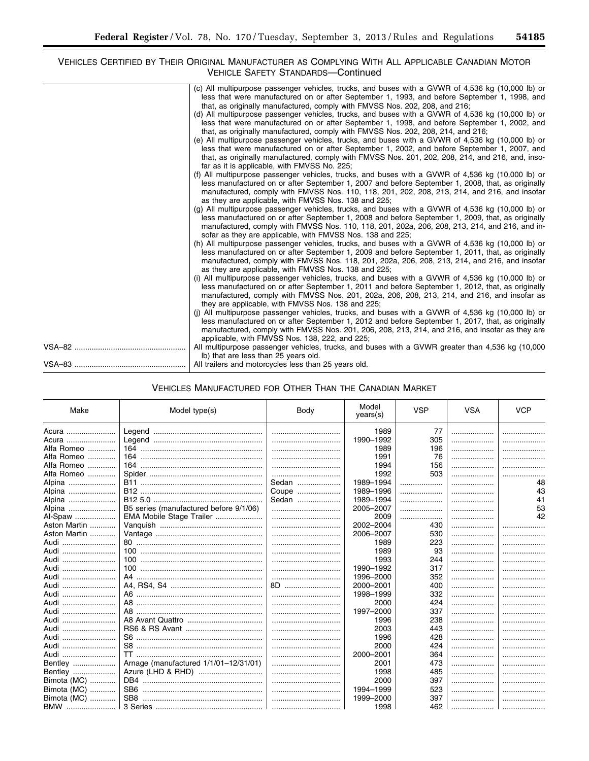# VEHICLES CERTIFIED BY THEIR ORIGINAL MANUFACTURER AS COMPLYING WITH ALL APPLICABLE CANADIAN MOTOR VEHICLE SAFETY STANDARDS—Continued

| (c) All multipurpose passenger vehicles, trucks, and buses with a GVWR of 4,536 kg (10,000 lb) or                                                         |
|-----------------------------------------------------------------------------------------------------------------------------------------------------------|
| less that were manufactured on or after September 1, 1993, and before September 1, 1998, and                                                              |
| that, as originally manufactured, comply with FMVSS Nos. 202, 208, and 216;                                                                               |
| (d) All multipurpose passenger vehicles, trucks, and buses with a GVWR of 4,536 kg (10,000 lb) or                                                         |
| less that were manufactured on or after September 1, 1998, and before September 1, 2002, and                                                              |
| that, as originally manufactured, comply with FMVSS Nos. 202, 208, 214, and 216;                                                                          |
| (e) All multipurpose passenger vehicles, trucks, and buses with a GVWR of 4,536 kg (10,000 lb) or                                                         |
| less that were manufactured on or after September 1, 2002, and before September 1, 2007, and                                                              |
| that, as originally manufactured, comply with FMVSS Nos. 201, 202, 208, 214, and 216, and, inso-                                                          |
| far as it is applicable, with FMVSS No. 225;                                                                                                              |
| (f) All multipurpose passenger vehicles, trucks, and buses with a GVWR of 4,536 kg (10,000 lb) or                                                         |
| less manufactured on or after September 1, 2007 and before September 1, 2008, that, as originally                                                         |
| manufactured, comply with FMVSS Nos. 110, 118, 201, 202, 208, 213, 214, and 216, and insofar                                                              |
| as they are applicable, with FMVSS Nos. 138 and 225;<br>(g) All multipurpose passenger vehicles, trucks, and buses with a GVWR of 4,536 kg (10,000 lb) or |
| less manufactured on or after September 1, 2008 and before September 1, 2009, that, as originally                                                         |
| manufactured, comply with FMVSS Nos. 110, 118, 201, 202a, 206, 208, 213, 214, and 216, and in-                                                            |
| sofar as they are applicable, with FMVSS Nos. 138 and 225;                                                                                                |
| (h) All multipurpose passenger vehicles, trucks, and buses with a GVWR of 4,536 kg (10,000 lb) or                                                         |
| less manufactured on or after September 1, 2009 and before September 1, 2011, that, as originally                                                         |
| manufactured, comply with FMVSS Nos. 118, 201, 202a, 206, 208, 213, 214, and 216, and insofar                                                             |
| as they are applicable, with FMVSS Nos. 138 and 225;                                                                                                      |
| (i) All multipurpose passenger vehicles, trucks, and buses with a GVWR of 4,536 kg (10,000 lb) or                                                         |
| less manufactured on or after September 1, 2011 and before September 1, 2012, that, as originally                                                         |
| manufactured, comply with FMVSS Nos. 201, 202a, 206, 208, 213, 214, and 216, and insofar as                                                               |
| they are applicable, with FMVSS Nos. 138 and 225;                                                                                                         |
| (j) All multipurpose passenger vehicles, trucks, and buses with a GVWR of 4,536 kg (10,000 lb) or                                                         |
| less manufactured on or after September 1, 2012 and before September 1, 2017, that, as originally                                                         |
| manufactured, comply with FMVSS Nos. 201, 206, 208, 213, 214, and 216, and insofar as they are                                                            |
| applicable, with FMVSS Nos. 138, 222, and 225;                                                                                                            |
| All multipurpose passenger vehicles, trucks, and buses with a GVWR greater than 4,536 kg (10,000)                                                         |
| Ib) that are less than 25 years old.                                                                                                                      |
| All trailers and motorcycles less than 25 years old.                                                                                                      |

| 1989<br>77<br>Acura<br>.<br>1990-1992<br>305<br>Acura<br>Alfa Romeo<br>196<br>1989<br>Alfa Romeo<br>76<br>1991<br>Alfa Romeo<br>156<br>1994<br>Alfa Romeo<br>1992<br>503<br><br>Sedan<br>1989-1994<br>48<br>Alpina<br>.<br>.<br>43<br>1989-1996<br>Coupe<br>Alpina<br>.<br>1989-1994<br>41<br>Sedan<br>Alpina<br>.<br>.<br>B5 series (manufactured before 9/1/06)<br>53<br>2005-2007<br>Alpina<br>.<br>EMA Mobile Stage Trailer<br>2009<br>42<br>Al-Spaw<br>.<br>.<br>Aston Martin<br>2002-2004<br>430<br>.<br>Aston Martin<br>530<br>2006-2007<br>.<br>Audi<br>223<br>1989<br>.<br>93<br>Audi<br>1989<br>.<br>Audi<br>1993<br>244<br>.<br>317<br>Audi<br>1990-1992<br>.<br>352<br>1996-2000<br>Audi<br>.<br>8D<br>Audi<br>2000-2001<br>400<br>332<br>Audi<br>1998-1999<br>.<br>424<br>Audi<br>2000<br>.<br>1997-2000<br>337<br>Audi<br>.<br>.<br>238<br>Audi<br>1996<br>.<br>443<br>Audi<br>2003<br><br>.<br>428<br>Audi<br>1996<br>.<br>Audi<br>2000<br>424<br>.<br>364<br>Audi<br>2000-2001<br>.<br>Arnage (manufactured 1/1/01-12/31/01)<br>Bentley<br>473<br>2001<br>.<br>Bentley<br>1998<br>485<br>.<br>Bimota (MC)<br>397<br>2000<br>.<br>Bimota (MC)<br>523<br>1994-1999<br>.<br>Bimota (MC)<br>397<br>1999-2000<br><br>. | Make | Model type(s) | Body | Model<br>years(s) | <b>VSP</b> | <b>VSA</b> | <b>VCP</b> |
|-----------------------------------------------------------------------------------------------------------------------------------------------------------------------------------------------------------------------------------------------------------------------------------------------------------------------------------------------------------------------------------------------------------------------------------------------------------------------------------------------------------------------------------------------------------------------------------------------------------------------------------------------------------------------------------------------------------------------------------------------------------------------------------------------------------------------------------------------------------------------------------------------------------------------------------------------------------------------------------------------------------------------------------------------------------------------------------------------------------------------------------------------------------------------------------------------------------------------------------|------|---------------|------|-------------------|------------|------------|------------|
|                                                                                                                                                                                                                                                                                                                                                                                                                                                                                                                                                                                                                                                                                                                                                                                                                                                                                                                                                                                                                                                                                                                                                                                                                                   |      |               |      |                   |            |            |            |
|                                                                                                                                                                                                                                                                                                                                                                                                                                                                                                                                                                                                                                                                                                                                                                                                                                                                                                                                                                                                                                                                                                                                                                                                                                   |      |               |      |                   |            |            |            |
|                                                                                                                                                                                                                                                                                                                                                                                                                                                                                                                                                                                                                                                                                                                                                                                                                                                                                                                                                                                                                                                                                                                                                                                                                                   |      |               |      |                   |            |            |            |
|                                                                                                                                                                                                                                                                                                                                                                                                                                                                                                                                                                                                                                                                                                                                                                                                                                                                                                                                                                                                                                                                                                                                                                                                                                   |      |               |      |                   |            |            |            |
|                                                                                                                                                                                                                                                                                                                                                                                                                                                                                                                                                                                                                                                                                                                                                                                                                                                                                                                                                                                                                                                                                                                                                                                                                                   |      |               |      |                   |            |            |            |
|                                                                                                                                                                                                                                                                                                                                                                                                                                                                                                                                                                                                                                                                                                                                                                                                                                                                                                                                                                                                                                                                                                                                                                                                                                   |      |               |      |                   |            |            |            |
|                                                                                                                                                                                                                                                                                                                                                                                                                                                                                                                                                                                                                                                                                                                                                                                                                                                                                                                                                                                                                                                                                                                                                                                                                                   |      |               |      |                   |            |            |            |
|                                                                                                                                                                                                                                                                                                                                                                                                                                                                                                                                                                                                                                                                                                                                                                                                                                                                                                                                                                                                                                                                                                                                                                                                                                   |      |               |      |                   |            |            |            |
|                                                                                                                                                                                                                                                                                                                                                                                                                                                                                                                                                                                                                                                                                                                                                                                                                                                                                                                                                                                                                                                                                                                                                                                                                                   |      |               |      |                   |            |            |            |
|                                                                                                                                                                                                                                                                                                                                                                                                                                                                                                                                                                                                                                                                                                                                                                                                                                                                                                                                                                                                                                                                                                                                                                                                                                   |      |               |      |                   |            |            |            |
|                                                                                                                                                                                                                                                                                                                                                                                                                                                                                                                                                                                                                                                                                                                                                                                                                                                                                                                                                                                                                                                                                                                                                                                                                                   |      |               |      |                   |            |            |            |
|                                                                                                                                                                                                                                                                                                                                                                                                                                                                                                                                                                                                                                                                                                                                                                                                                                                                                                                                                                                                                                                                                                                                                                                                                                   |      |               |      |                   |            |            |            |
|                                                                                                                                                                                                                                                                                                                                                                                                                                                                                                                                                                                                                                                                                                                                                                                                                                                                                                                                                                                                                                                                                                                                                                                                                                   |      |               |      |                   |            |            |            |
|                                                                                                                                                                                                                                                                                                                                                                                                                                                                                                                                                                                                                                                                                                                                                                                                                                                                                                                                                                                                                                                                                                                                                                                                                                   |      |               |      |                   |            |            |            |
|                                                                                                                                                                                                                                                                                                                                                                                                                                                                                                                                                                                                                                                                                                                                                                                                                                                                                                                                                                                                                                                                                                                                                                                                                                   |      |               |      |                   |            |            |            |
|                                                                                                                                                                                                                                                                                                                                                                                                                                                                                                                                                                                                                                                                                                                                                                                                                                                                                                                                                                                                                                                                                                                                                                                                                                   |      |               |      |                   |            |            |            |
|                                                                                                                                                                                                                                                                                                                                                                                                                                                                                                                                                                                                                                                                                                                                                                                                                                                                                                                                                                                                                                                                                                                                                                                                                                   |      |               |      |                   |            |            |            |
|                                                                                                                                                                                                                                                                                                                                                                                                                                                                                                                                                                                                                                                                                                                                                                                                                                                                                                                                                                                                                                                                                                                                                                                                                                   |      |               |      |                   |            |            |            |
|                                                                                                                                                                                                                                                                                                                                                                                                                                                                                                                                                                                                                                                                                                                                                                                                                                                                                                                                                                                                                                                                                                                                                                                                                                   |      |               |      |                   |            |            |            |
|                                                                                                                                                                                                                                                                                                                                                                                                                                                                                                                                                                                                                                                                                                                                                                                                                                                                                                                                                                                                                                                                                                                                                                                                                                   |      |               |      |                   |            |            |            |
|                                                                                                                                                                                                                                                                                                                                                                                                                                                                                                                                                                                                                                                                                                                                                                                                                                                                                                                                                                                                                                                                                                                                                                                                                                   |      |               |      |                   |            |            |            |
|                                                                                                                                                                                                                                                                                                                                                                                                                                                                                                                                                                                                                                                                                                                                                                                                                                                                                                                                                                                                                                                                                                                                                                                                                                   |      |               |      |                   |            |            |            |
|                                                                                                                                                                                                                                                                                                                                                                                                                                                                                                                                                                                                                                                                                                                                                                                                                                                                                                                                                                                                                                                                                                                                                                                                                                   |      |               |      |                   |            |            |            |
|                                                                                                                                                                                                                                                                                                                                                                                                                                                                                                                                                                                                                                                                                                                                                                                                                                                                                                                                                                                                                                                                                                                                                                                                                                   |      |               |      |                   |            |            |            |
|                                                                                                                                                                                                                                                                                                                                                                                                                                                                                                                                                                                                                                                                                                                                                                                                                                                                                                                                                                                                                                                                                                                                                                                                                                   |      |               |      |                   |            |            |            |
|                                                                                                                                                                                                                                                                                                                                                                                                                                                                                                                                                                                                                                                                                                                                                                                                                                                                                                                                                                                                                                                                                                                                                                                                                                   |      |               |      |                   |            |            |            |
|                                                                                                                                                                                                                                                                                                                                                                                                                                                                                                                                                                                                                                                                                                                                                                                                                                                                                                                                                                                                                                                                                                                                                                                                                                   |      |               |      |                   |            |            |            |
|                                                                                                                                                                                                                                                                                                                                                                                                                                                                                                                                                                                                                                                                                                                                                                                                                                                                                                                                                                                                                                                                                                                                                                                                                                   |      |               |      |                   |            |            |            |
|                                                                                                                                                                                                                                                                                                                                                                                                                                                                                                                                                                                                                                                                                                                                                                                                                                                                                                                                                                                                                                                                                                                                                                                                                                   |      |               |      |                   |            |            |            |
|                                                                                                                                                                                                                                                                                                                                                                                                                                                                                                                                                                                                                                                                                                                                                                                                                                                                                                                                                                                                                                                                                                                                                                                                                                   |      |               |      |                   |            |            |            |
|                                                                                                                                                                                                                                                                                                                                                                                                                                                                                                                                                                                                                                                                                                                                                                                                                                                                                                                                                                                                                                                                                                                                                                                                                                   |      |               |      |                   |            |            |            |
|                                                                                                                                                                                                                                                                                                                                                                                                                                                                                                                                                                                                                                                                                                                                                                                                                                                                                                                                                                                                                                                                                                                                                                                                                                   |      |               |      |                   |            |            |            |
|                                                                                                                                                                                                                                                                                                                                                                                                                                                                                                                                                                                                                                                                                                                                                                                                                                                                                                                                                                                                                                                                                                                                                                                                                                   | BMW  |               |      | 1998              | 462        | .          |            |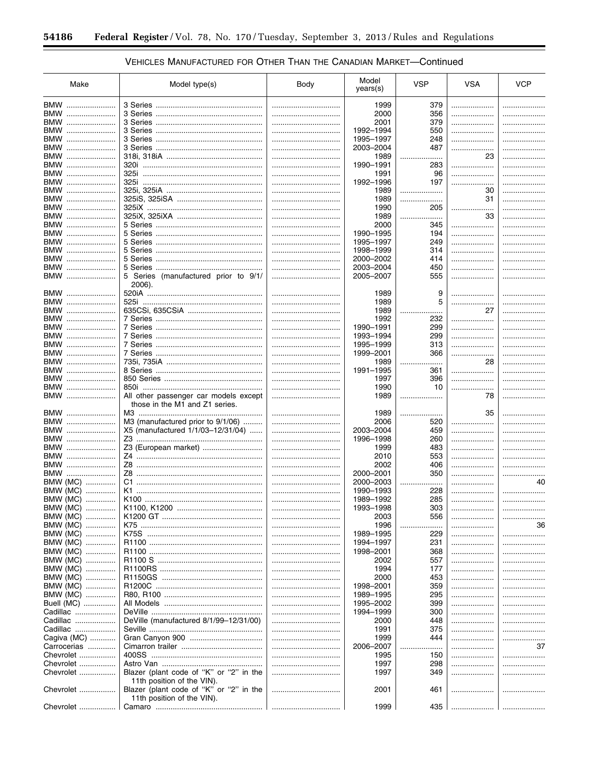# VEHICLES MANUFACTURED FOR OTHER THAN THE CANADIAN MARKET-Continued

۲

| Make                   | Model type(s)                                  | Body | Model<br>years(s)      | <b>VSP</b> | <b>VSA</b> | <b>VCP</b> |
|------------------------|------------------------------------------------|------|------------------------|------------|------------|------------|
| BMW                    |                                                |      | 1999                   | 379        |            |            |
| BMW                    |                                                |      | 2000                   | 356        |            |            |
| BMW                    |                                                |      | 2001                   | 379        | .          |            |
| BMW                    |                                                |      | 1992-1994              | 550        |            |            |
| BMW                    |                                                |      | 1995-1997              | 248        | .          |            |
| BMW                    |                                                |      | 2003-2004              | 487        | .          |            |
| BMW                    |                                                |      | 1989                   | .<br>.     | 23         |            |
| BMW                    |                                                |      | 1990-1991              | 283        | .          |            |
| BMW                    |                                                |      | 1991                   | 96         | .          |            |
| BMW                    |                                                |      | 1992-1996              | 197        | .          |            |
| BMW                    |                                                |      | 1989                   | .          | 30         |            |
| BMW                    |                                                |      | 1989                   | .          | 31         | .          |
| BMW                    |                                                |      | 1990                   | 205        | .          |            |
| BMW                    |                                                |      | 1989                   | .<br>.     | 33         |            |
| BMW                    |                                                |      | 2000                   | 345        | .          |            |
| BMW                    |                                                |      | 1990-1995              | 194        | .          |            |
| BMW                    |                                                |      | 1995-1997              | 249        | .          |            |
| BMW                    |                                                |      | 1998-1999              | 314        |            |            |
| BMW                    |                                                |      | 2000-2002              | 414        | .          |            |
| BMW                    |                                                |      | 2003-2004              | 450        |            |            |
| BMW                    | 5 Series (manufactured prior to 9/1/<br>2006). |      | 2005-2007              | 555        | .          |            |
| BMW                    |                                                |      | 1989                   | 9          |            |            |
| BMW                    |                                                |      | 1989                   | 5          |            | .          |
| BMW                    |                                                |      | 1989                   |            | 27         | .          |
| BMW                    |                                                |      | 1992                   | 232        | .          | .          |
| BMW                    |                                                |      | 1990-1991              | 299        | .          | .          |
| BMW<br>BMW             |                                                |      | 1993-1994              | 299        | .          | .          |
| BMW                    |                                                | <br> | 1995-1999<br>1999-2001 | 313<br>366 | .<br>.     | .          |
| BMW                    |                                                |      | 1989                   |            | 28         | .<br>.     |
| BMW                    |                                                |      | 1991-1995              | 361        | .          |            |
| BMW                    |                                                |      | 1997                   | 396        | .          | .          |
| BMW                    |                                                |      | 1990                   | 10         | .          |            |
| BMW                    | All other passenger car models except          |      | 1989                   | .          | 78         |            |
|                        | those in the M1 and Z1 series.                 |      |                        |            |            |            |
| BMW                    |                                                |      | 1989                   | .          | 35         |            |
| BMW                    | M3 (manufactured prior to 9/1/06)              |      | 2006                   | 520        |            |            |
| BMW                    | X5 (manufactured $1/1/03 - 12/31/04$ )         |      | 2003-2004              | 459        |            |            |
| BMW                    |                                                |      | 1996-1998              | 260        | .          |            |
| BMW                    | Z3 (European market)                           |      | 1999                   | 483        |            |            |
| BMW                    |                                                |      | 2010                   | 553        | .          |            |
| BMW                    |                                                |      | 2002                   | 406        | .          |            |
| BMW                    |                                                |      | 2000-2001              | 350        | .          |            |
| BMW (MC)               |                                                |      | 2000-2003              |            |            | 40         |
| BMW (MC)               |                                                |      | 1990-1993              | 228        | .          |            |
| BMW (MC)               | K100                                           |      | 1989-1992              | 285        |            |            |
| BMW (MC)               |                                                |      | 1993-1998              | 303        |            |            |
| BMW (MC)<br>.          |                                                |      | 2003                   | 556        |            |            |
| BMW (MC)               |                                                |      | 1996                   |            |            | 36         |
| BMW (MC)<br>.          |                                                |      | 1989-1995              | 229        |            | .          |
| BMW (MC)               |                                                |      | 1994-1997              | 231        |            |            |
| BMW (MC)<br>.          |                                                |      | 1998-2001              | 368        |            |            |
| BMW (MC)               |                                                |      | 2002                   | 557        |            |            |
| BMW (MC)               |                                                |      | 1994                   | 177        |            |            |
| BMW (MC)               |                                                |      | 2000                   | 453        |            |            |
| BMW (MC)               |                                                |      | 1998-2001              | 359        |            |            |
| BMW (MC)<br>Buell (MC) |                                                |      | 1989-1995              | 295        |            |            |
| Cadillac               |                                                |      | 1995-2002<br>1994-1999 | 399<br>300 | .          |            |
| Cadillac               | DeVille (manufactured 8/1/99-12/31/00)         |      | 2000                   | 448        |            |            |
| Cadillac               |                                                |      | 1991                   | 375        |            |            |
| Cagiva (MC)            |                                                |      | 1999                   | 444        |            |            |
| Carrocerias            |                                                |      | 2006-2007              | .          |            | .<br>37    |
| Chevrolet              |                                                |      | 1995                   | 150        |            | .          |
| Chevrolet              |                                                |      | 1997                   | 298        | .          |            |
| Chevrolet              | Blazer (plant code of "K" or "2" in the        |      | 1997                   | 349        | .          |            |
|                        | 11th position of the VIN).                     |      |                        |            |            |            |
| Chevrolet              | Blazer (plant code of "K" or "2" in the        |      | 2001                   | 461        |            |            |
|                        | 11th position of the VIN).                     |      |                        |            |            |            |
| Chevrolet              |                                                |      | 1999                   | 435        |            |            |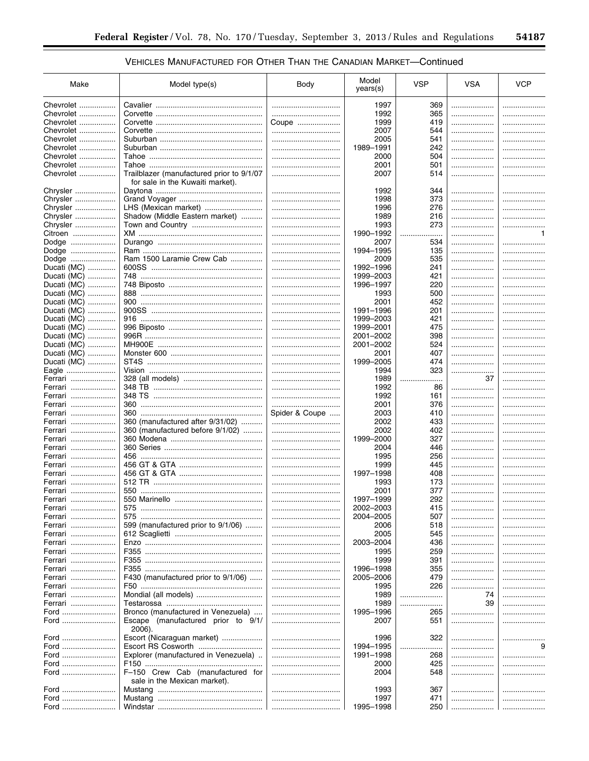| Make        | Model type(s)                                                                 | Body           | Model<br>years(s) | <b>VSP</b> | <b>VSA</b> | <b>VCP</b> |
|-------------|-------------------------------------------------------------------------------|----------------|-------------------|------------|------------|------------|
| Chevrolet   |                                                                               |                | 1997              | 369        |            |            |
| Chevrolet   |                                                                               |                | 1992              | 365        | .          |            |
| Chevrolet   |                                                                               | Coupe          | 1999              | 419        |            | .          |
| Chevrolet   |                                                                               |                | 2007              | 544        | .          | .          |
| Chevrolet   |                                                                               |                | 2005              | 541        | .          |            |
|             |                                                                               |                |                   |            |            |            |
| Chevrolet   |                                                                               |                | 1989-1991         | 242        | .          |            |
| Chevrolet   |                                                                               |                | 2000              | 504        | .          |            |
| Chevrolet   |                                                                               |                | 2001              | 501        | .          |            |
| Chevrolet   | Trailblazer (manufactured prior to 9/1/07<br>for sale in the Kuwaiti market). |                | 2007              | 514        | .          |            |
| Chrysler    |                                                                               |                | 1992              | 344        |            |            |
| Chrysler    |                                                                               |                | 1998              | 373        | .          |            |
| Chrysler    | LHS (Mexican market)                                                          |                | 1996              | 276        | .          |            |
| Chrysler    | Shadow (Middle Eastern market)                                                |                | 1989              | 216        | .          |            |
| Chrysler    |                                                                               |                | 1993              | 273        |            |            |
| Citroen     |                                                                               |                | 1990-1992         | .          |            | 1          |
| Dodge       |                                                                               |                | 2007              | 534        |            | .          |
| Dodge       |                                                                               |                | 1994-1995         | 135        | .          |            |
| Dodge       | Ram 1500 Laramie Crew Cab                                                     |                | 2009              | 535        |            |            |
|             |                                                                               |                |                   |            |            |            |
| Ducati (MC) |                                                                               |                | 1992-1996         | 241        |            | .          |
| Ducati (MC) |                                                                               |                | 1999-2003         | 421        |            |            |
| Ducati (MC) |                                                                               |                | 1996-1997         | 220        |            |            |
| Ducati (MC) |                                                                               |                | 1993              | 500        | .          | .          |
| Ducati (MC) |                                                                               |                | 2001              | 452        | .          |            |
| Ducati (MC) |                                                                               |                | 1991-1996         | 201        |            |            |
| Ducati (MC) |                                                                               |                | 1999-2003         | 421        |            |            |
| Ducati (MC) |                                                                               |                | 1999-2001         | 475        |            |            |
| Ducati (MC) |                                                                               |                | 2001-2002         | 398        | .          |            |
| Ducati (MC) |                                                                               |                | 2001-2002         | 524        | .          |            |
| Ducati (MC) |                                                                               |                | 2001              | 407        | .          |            |
| Ducati (MC) |                                                                               |                | 1999-2005         | 474        |            |            |
| Eagle       |                                                                               |                | 1994              | 323        | .          |            |
| Ferrari     |                                                                               |                | 1989              | .          | 37         |            |
| Ferrari     |                                                                               |                | 1992              | 86         | .          |            |
|             |                                                                               |                | 1992              |            |            |            |
| Ferrari     |                                                                               |                |                   | 161        |            |            |
| Ferrari     |                                                                               |                | 2001              | 376        | .          |            |
| Ferrari     |                                                                               | Spider & Coupe | 2003              | 410        | .          |            |
| Ferrari     | 360 (manufactured after 9/31/02)                                              |                | 2002              | 433        | .          |            |
| Ferrari     | 360 (manufactured before 9/1/02)                                              |                | 2002              | 402        | .          |            |
| Ferrari     |                                                                               |                | 1999-2000         | 327        | .          |            |
| Ferrari     |                                                                               |                | 2004              | 446        | .          |            |
| Ferrari     |                                                                               |                | 1995              | 256        | .          |            |
| Ferrari     |                                                                               |                | 1999              | 445        | .          |            |
| Ferrari     |                                                                               |                | 1997-1998         | 408        | .          |            |
| Ferrari     |                                                                               |                | 1993              | 173        | .          |            |
| Ferrari     |                                                                               |                | 2001              | 377        | .          |            |
| Ferrari     | 550 Marinello                                                                 |                | 1997-1999         | 292        |            |            |
| Ferrari     |                                                                               |                | 2002-2003         | 415        | .          | .          |
| Ferrari     | 575                                                                           |                | 2004-2005         | 507        |            |            |
| Ferrari     | 599 (manufactured prior to 9/1/06)                                            |                | 2006              | 518        |            |            |
|             |                                                                               |                |                   |            |            |            |
| Ferrari     |                                                                               |                | 2005              | 545        |            |            |
| Ferrari     |                                                                               |                | 2003-2004         | 436        |            |            |
| Ferrari     |                                                                               |                | 1995              | 259        |            |            |
| Ferrari     |                                                                               |                | 1999              | 391        |            |            |
| Ferrari     |                                                                               |                | 1996-1998         | 355        |            |            |
| Ferrari     | F430 (manufactured prior to 9/1/06)                                           |                | 2005-2006         | 479        |            |            |
| Ferrari     |                                                                               |                | 1995              | 226        | .          |            |
| Ferrari     |                                                                               |                | 1989              | .          | 74         | .          |
| Ferrari     |                                                                               |                | 1989              | .          | 39         | .          |
| Ford        | Bronco (manufactured in Venezuela)                                            |                | 1995-1996         | 265        |            | .          |
| Ford        | Escape (manufactured prior to 9/1/<br>2006).                                  |                | 2007              | 551        |            |            |
| Ford        | Escort (Nicaraguan market)                                                    |                | 1996              | 322        |            |            |
| Ford        | Escort RS Cosworth                                                            |                | 1994-1995         | .          |            | 9          |
| Ford        | Explorer (manufactured in Venezuela)                                          |                | 1991-1998         | 268        |            | .          |
| Ford        |                                                                               |                | 2000              | 425        |            |            |
| Ford        | F-150 Crew Cab (manufactured for<br>sale in the Mexican market).              |                | 2004              | 548        | .          |            |
| Ford        |                                                                               |                | 1993              | 367        |            |            |
| Ford        |                                                                               |                | 1997              | 471        |            |            |
| Ford        |                                                                               |                | 1995-1998         | 250        |            |            |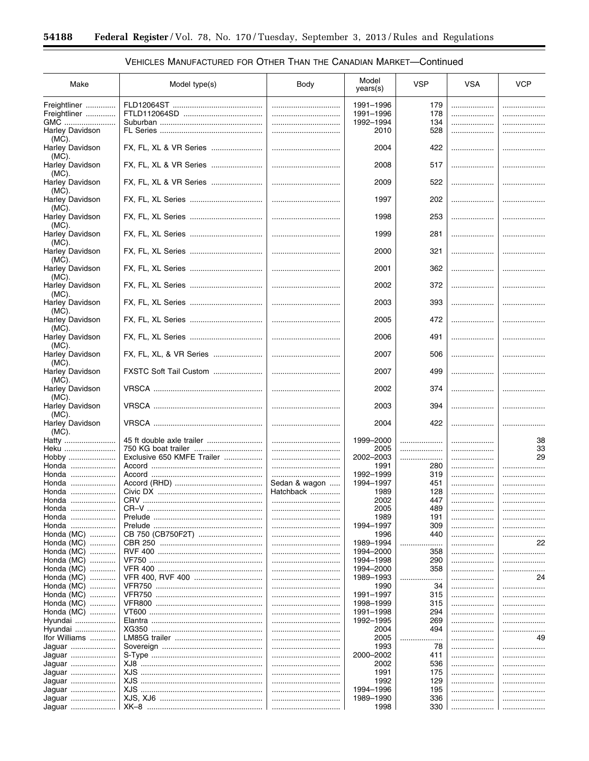$\equiv$ 

| Make                               | Model type(s)              | Body          | Model<br>years(s)      | <b>VSP</b> | <b>VSA</b> | <b>VCP</b> |
|------------------------------------|----------------------------|---------------|------------------------|------------|------------|------------|
| Freightliner                       |                            |               | 1991-1996              | 179        |            |            |
| Freightliner                       |                            |               | 1991-1996              | 178        |            |            |
| GMC                                |                            |               | 1992-1994              | 134        | .          |            |
| <b>Harley Davidson</b><br>(MC).    |                            |               | 2010                   | 528        |            |            |
| Harley Davidson<br>$(MC)$ .        | FX, FL, XL & VR Series     |               | 2004                   | 422        |            |            |
| <b>Harley Davidson</b><br>$(MC)$ . | FX, FL, XL & VR Series     |               | 2008                   | 517        |            |            |
| Harley Davidson<br>$(MC)$ .        | FX, FL, XL & VR Series     |               | 2009                   | 522        |            |            |
| Harley Davidson<br>$(MC)$ .        |                            |               | 1997                   | 202        | .          |            |
| Harley Davidson<br>$(MC)$ .        |                            |               | 1998                   | 253        |            |            |
| Harley Davidson<br>$(MC)$ .        |                            |               | 1999                   | 281        | .          |            |
| Harley Davidson<br>(MC).           |                            |               | 2000                   | 321        |            |            |
| <b>Harley Davidson</b><br>$(MC)$ . |                            |               | 2001                   | 362        |            |            |
| Harley Davidson<br>$(MC)$ .        |                            |               | 2002                   | 372        |            |            |
| Harley Davidson<br>(MC).           | FX, FL, XL Series          |               | 2003                   | 393        |            |            |
| Harley Davidson<br>$(MC)$ .        |                            |               | 2005                   | 472        |            |            |
| Harley Davidson<br>(MC).           |                            |               | 2006                   | 491        |            |            |
| Harley Davidson<br>$(MC)$ .        | FX, FL, XL, & VR Series    |               | 2007                   | 506        |            |            |
| <b>Harley Davidson</b><br>$(MC)$ . | FXSTC Soft Tail Custom     |               | 2007                   | 499        |            |            |
| <b>Harley Davidson</b><br>$(MC)$ . |                            |               | 2002                   | 374        |            |            |
| <b>Harley Davidson</b><br>(MC).    |                            |               | 2003                   | 394        |            |            |
| <b>Harley Davidson</b><br>$(MC)$ . |                            |               | 2004                   | 422        |            |            |
| Hatty                              |                            |               | 1999-2000              |            |            | 38         |
| Heku                               |                            |               | 2005                   |            |            | 33         |
| Hobby<br>Honda                     | Exclusive 650 KMFE Trailer |               | 2002-2003              |            |            | 29         |
| Honda                              |                            | <br>          | 1991<br>1992-1999      | 280<br>319 |            |            |
| Honda                              |                            | Sedan & wagon | 1994-1997              | 451        | .          |            |
| Honda                              |                            | Hatchback     | 1989                   | 128        |            |            |
| Honda                              | <b>CRV</b>                 |               | 2002                   | 447        |            |            |
| Honda                              |                            |               | 2005                   | 489        | .          |            |
| Honda                              |                            |               | 1989                   | 191        |            |            |
| Honda<br>Honda (MC)                |                            | <br>          | 1994-1997<br>1996      | 309<br>440 | .<br>      | <br>       |
| Honda (MC)                         |                            |               | 1989-1994              | .          |            | 22         |
| Honda (MC)                         |                            |               | 1994-2000              | 358        |            |            |
| Honda (MC)                         |                            |               | 1994-1998              | 290        |            |            |
| Honda (MC)                         |                            |               | 1994-2000              | 358        |            |            |
| Honda (MC)                         |                            |               | 1989-1993              | .          |            | 24         |
| Honda (MC)                         |                            |               | 1990                   | 34         |            |            |
| Honda (MC)                         |                            |               | 1991-1997              | 315        |            |            |
| Honda (MC)                         |                            |               | 1998-1999              | 315        |            |            |
| Honda (MC)                         |                            |               | 1991-1998<br>1992-1995 | 294<br>269 |            |            |
| Hyundai<br>Hyundai                 |                            | <br>          | 2004                   | 494        | <br>       |            |
| Ifor Williams                      |                            |               | 2005                   |            |            | <br>49     |
| Jaguar                             |                            |               | 1993                   | 78         |            |            |
| Jaguar                             |                            |               | 2000-2002              | 411        |            |            |
| Jaguar                             |                            |               | 2002                   | 536        |            |            |
| Jaguar                             |                            |               | 1991                   | 175        |            |            |
| Jaguar                             |                            |               | 1992                   | 129        |            |            |
| Jaguar                             |                            |               | 1994-1996              | 195        |            |            |
| Jaguar                             |                            |               | 1989-1990              | 336        |            |            |
| Jaquar                             |                            |               | 1998                   | 330        |            |            |

# VEHICLES MANUFACTURED FOR OTHER THAN THE CANADIAN MARKET-Continued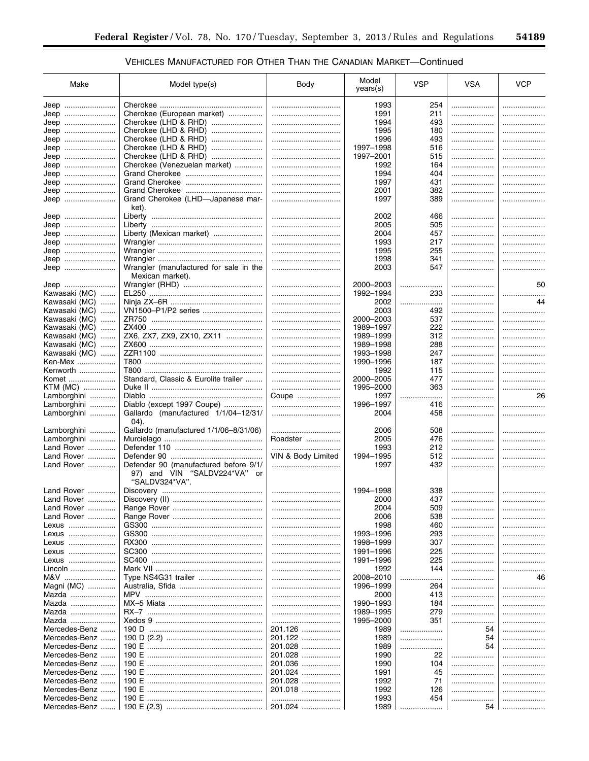| Make          | Model type(s)                          | Body               | Model<br>years(s) | <b>VSP</b> | <b>VSA</b> | <b>VCP</b> |
|---------------|----------------------------------------|--------------------|-------------------|------------|------------|------------|
| Jeep          |                                        |                    | 1993              | 254        |            |            |
| Jeep          | Cherokee (European market)             |                    | 1991              | 211        |            |            |
| Jeep          | Cherokee (LHD & RHD)                   |                    | 1994              | 493        |            |            |
| Jeep          |                                        |                    | 1995              | 180        |            |            |
| Jeep          | Cherokee (LHD & RHD)                   |                    | 1996              | 493        | .          |            |
| Jeep          | Cherokee (LHD & RHD)                   |                    | 1997-1998         | 516        | .          |            |
| Jeep          | Cherokee (LHD & RHD)                   |                    | 1997-2001         | 515        | .          |            |
| Jeep          | Cherokee (Venezuelan market)           |                    | 1992              | 164        |            |            |
| Jeep          |                                        |                    | 1994              | 404        | .          |            |
| Jeep          |                                        |                    | 1997              | 431        |            |            |
| Jeep          |                                        |                    | 2001              | 382        | .          | .          |
| Jeep          | Grand Cherokee (LHD-Japanese mar-      |                    | 1997              | 389        |            | .          |
|               | ket).                                  |                    |                   |            |            |            |
| Jeep          |                                        |                    | 2002              | 466        |            |            |
| Jeep          |                                        |                    | 2005              | 505        | .          |            |
| Jeep          | Liberty (Mexican market)               |                    | 2004              | 457        | .          |            |
| Jeep          |                                        |                    | 1993              | 217        | .          |            |
| Jeep          |                                        |                    | 1995              | 255        |            |            |
| Jeep          |                                        |                    | 1998              | 341        | .          |            |
| Jeep          | Wrangler (manufactured for sale in the |                    | 2003              | 547        | .          |            |
|               | Mexican market).                       |                    |                   |            |            |            |
| Jeep          |                                        |                    | 2000-2003         | .          |            | 50         |
| Kawasaki (MC) |                                        |                    | 1992-1994         | 233        |            |            |
| Kawasaki (MC) |                                        |                    | 2002              |            |            | 44         |
| Kawasaki (MC) |                                        |                    | 2003              | 492        | .          | .          |
| Kawasaki (MC) |                                        |                    | 2000-2003         | 537        | .          | .          |
| Kawasaki (MC) |                                        |                    | 1989-1997         | 222        | .          |            |
| Kawasaki (MC) | ZX6, ZX7, ZX9, ZX10, ZX11              |                    | 1989-1999         | 312        |            |            |
| Kawasaki (MC) |                                        |                    | 1989-1998         | 288        |            | .          |
| Kawasaki (MC) |                                        |                    | 1993-1998         | 247        |            | .          |
| Ken-Mex       |                                        |                    | 1990-1996         | 187        |            | .          |
| Kenworth      |                                        |                    | 1992              | 115        |            | .          |
| Komet         | Standard, Classic & Eurolite trailer   |                    | 2000-2005         | 477        |            |            |
| KTM (MC)      |                                        |                    | 1995-2000         | 363        | .          | .          |
| Lamborghini   |                                        | Coupe              | 1997              | .<br>.     | .          | 26         |
| Lamborghini   | Diablo (except 1997 Coupe)             |                    | 1996-1997         | 416        |            | .          |
| Lamborghini   | Gallardo (manufactured 1/1/04-12/31/   |                    | 2004              | 458        |            | .          |
|               | 04).                                   |                    |                   |            |            |            |
| Lamborghini   | Gallardo (manufactured 1/1/06-8/31/06) |                    | 2006              | 508        |            |            |
| Lamborghini   |                                        | Roadster           | 2005              | 476        |            |            |
| Land Rover    |                                        |                    | 1993              | 212        |            |            |
| Land Rover    |                                        | VIN & Body Limited | 1994-1995         | 512        |            |            |
| Land Rover    | Defender 90 (manufactured before 9/1/  |                    | 1997              | 432        |            |            |
|               | 97) and VIN "SALDV224*VA" or           |                    |                   |            |            |            |
|               | "SALDV324*VA".                         |                    |                   |            |            |            |
| Land Rover    |                                        |                    | 1994-1998         | 338        |            |            |
| Land Rover    |                                        |                    | 2000              | 437        |            |            |
| Land Rover    |                                        |                    | 2004              | 509        | .          |            |
| Land Rover    |                                        |                    | 2006              | 538        |            |            |
| Lexus         |                                        |                    | 1998              | 460        | .          |            |
| Lexus         |                                        |                    | 1993-1996         | 293        |            | .          |
| Lexus         |                                        |                    | 1998-1999         | 307        | .          | .          |
| Lexus         |                                        |                    | 1991-1996         | 225        |            | .          |
| Lexus         |                                        |                    | 1991-1996         | 225        |            |            |
| Lincoln       |                                        |                    | 1992              | 144        |            |            |
| M&V           |                                        |                    | 2008-2010         | .          |            | 46         |
| Magni (MC)    |                                        |                    | 1996-1999         | 264        |            | .          |
| Mazda         |                                        |                    | 2000              | 413        | .          | .          |
| Mazda         |                                        |                    | 1990-1993         | 184        | .          | .          |
| Mazda         |                                        |                    | 1989-1995         | 279        | .          | .          |
| Mazda         |                                        |                    | 1995-2000         | 351        |            | .          |
| Mercedes-Benz |                                        | 201.126            | 1989              |            | 54         | .          |
| Mercedes-Benz |                                        | 201.122            | 1989              | .          | 54         | .          |
| Mercedes-Benz |                                        | 201.028            | 1989              | .          | 54         | .          |
| Mercedes-Benz |                                        | 201.028            | 1990              | 22         |            | .          |
| Mercedes-Benz | 190 E ………………………………………………               | 201.036            | 1990              | 104        | .          | .          |
| Mercedes-Benz |                                        | 201.024            | 1991              | 45         |            | .          |
| Mercedes-Benz |                                        | 201.028            | 1992              | 71         | .          | .          |
| Mercedes-Benz | 190 E                                  | 201.018            | 1992              | 126        | .          | .          |
| Mercedes-Benz |                                        |                    | 1993              | 454        |            | .          |
| Mercedes-Benz |                                        | 201.024            | 1989              |            | 54         | .          |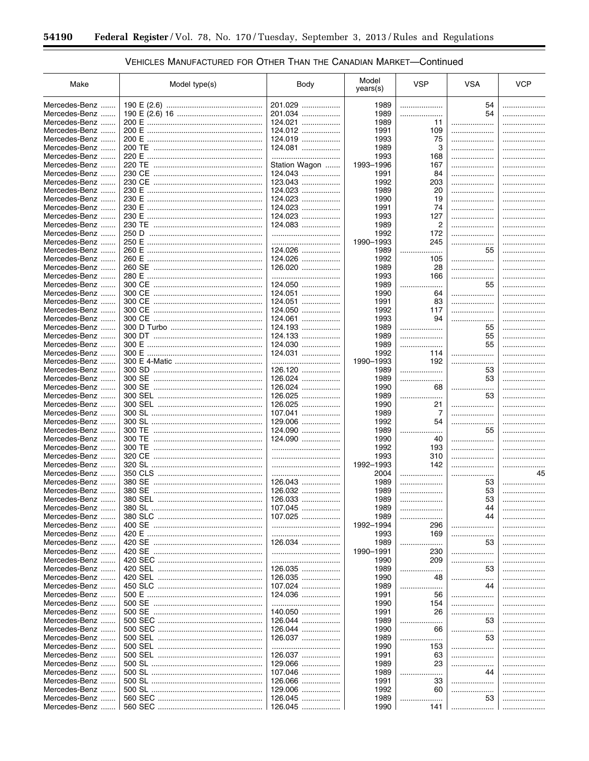# VEHICLES MANUFACTURED FOR OTHER THAN THE CANADIAN MARKET-Continued

۲

| Make                       | Model type(s) | Body          | Model     | <b>VSP</b> | <b>VSA</b> | <b>VCP</b> |
|----------------------------|---------------|---------------|-----------|------------|------------|------------|
|                            |               |               | years(s)  |            |            |            |
| Mercedes-Benz              |               | 201.029       | 1989      | .          | 54         | . <b>.</b> |
| Mercedes-Benz              |               | 201.034       | 1989      |            | 54         | .          |
| Mercedes-Benz<br>.         |               | 124.021<br>.  | 1989      | 11         | .          | .          |
| Mercedes-Benz<br>.         | 200 E         | 124.012       | 1991      | 109        | .          | .          |
| Mercedes-Benz              | 200 E         | 124.019<br>.  | 1993      | 75         | .          |            |
| Mercedes-Benz<br>.         |               | 124.081       | 1989      | 3          | .          |            |
| Mercedes-Benz              |               |               | 1993      | 168        | .          | .          |
| Mercedes-Benz              |               | Station Wagon | 1993-1996 | 167        | .          |            |
| Mercedes-Benz              |               | 124.043       | 1991      | 84         | .          |            |
| Mercedes-Benz              |               | 123.043       | 1992      | 203        | .          |            |
| Mercedes-Benz              |               | 124.023       | 1989      | 20         | .          |            |
| Mercedes-Benz<br>1.1.1.1.1 |               | $124.023$     | 1990      | 19         | .          |            |
| Mercedes-Benz<br>.         | 230 E         | 124.023<br>.  | 1991      | 74         | .          |            |
| Mercedes-Benz              |               | 124.023       | 1993      | 127        | .          |            |
| Mercedes-Benz              |               | 124.083       | 1989      | 2          | .          |            |
| Mercedes-Benz<br>.         | 250 D         |               | 1992      | 172        | .          |            |
| Mercedes-Benz              | 250 E         |               | 1990-1993 | 245        | .          |            |
| Mercedes-Benz              |               | 124.026       | 1989      | .<br>.     | 55         | .          |
| Mercedes-Benz              |               | 124.026       | 1992      | 105        | .          | .          |
| Mercedes-Benz              |               | 126.020       | 1989      | 28         |            | .          |
| Mercedes-Benz              |               |               | 1993      | 166        | .          | .          |
| Mercedes-Benz              |               | 124.050       | 1989      | .          | 55         | .          |
| Mercedes-Benz              |               | 124.051       | 1990      | 64         | .          | .          |
| Mercedes-Benz              |               | 124.051       | 1991      | 83         | .          | .          |
| Mercedes-Benz              | 300 CE        | 124.050       | 1992      | 117        | .          | .          |
| Mercedes-Benz              |               | 124.061       | 1993      | 94         | .          | .          |
| Mercedes-Benz              |               | 124.193       | 1989      |            | 55         | .          |
| Mercedes-Benz              |               | 124.133       | 1989      | .          | 55         | .          |
| Mercedes-Benz              | 300 E         | 124.030<br>.  | 1989      | .<br>.     | 55         | .          |
| Mercedes-Benz              | 300 E         | 124.031       | 1992      | 114        | .<br>.     |            |
| Mercedes-Benz              |               |               | 1990-1993 | 192        |            |            |
| Mercedes-Benz              |               | 126.120       | 1989      | .          | 53         | .          |
| Mercedes-Benz<br>.         |               | 126.024       | 1989      | .          | 53         | .          |
| Mercedes-Benz              |               | 126.024       | 1990      | 68         | .<br>.     |            |
| Mercedes-Benz<br>.         |               | 126.025<br>.  | 1989      | .          | 53         |            |
| Mercedes-Benz<br>.         |               | 126.025<br>.  | 1990      | 21         | .          |            |
| Mercedes-Benz<br>.         |               | 107.041<br>.  | 1989      | 7          |            |            |
| Mercedes-Benz              |               | 129.006<br>.  | 1992      | 54         | .          |            |
| Mercedes-Benz              |               | 124.090       | 1989      |            | 55         | .          |
| Mercedes-Benz              |               | 124.090<br>.  | 1990      | 40         | .          |            |
| Mercedes-Benz<br>.         |               |               | 1992      | 193        | .          |            |
| Mercedes-Benz              |               |               | 1993      | 310        | .          | .          |
| Mercedes-Benz<br>.         |               |               | 1992-1993 | 142        |            | .          |
| Mercedes-Benz<br>.         |               |               | 2004      |            |            | 45         |
| Mercedes-Benz              |               | 126.043       | 1989      |            | 53         | .          |
| Mercedes-Benz              |               | 126.032       | 1989      |            | 53         | .          |
| Mercedes-Benz              | 380 SEL       | 126.033       | 1989      |            | 53         |            |
| Mercedes-Benz              |               | 107.045       | 1989      |            | 44         | .          |
| Mercedes-Benz              |               | 107.025       | 1989      |            | 44         | .          |
| Mercedes-Benz              |               |               | 1992-1994 | 296        | .          | .          |
| Mercedes-Benz              |               |               | 1993      | 169        | .          | .          |
| Mercedes-Benz              |               | 126.034       | 1989      | .          | 53         | .          |
| Mercedes-Benz              |               |               | 1990-1991 | 230        | .          | .          |
| Mercedes-Benz              |               |               | 1990      | 209        | .          | .          |
| Mercedes-Benz              |               | 126.035       | 1989      |            | 53         | .          |
| Mercedes-Benz              |               | 126.035       | 1990      | 48         | .          | .          |
| Mercedes-Benz              |               | 107.024       | 1989      |            | 44         | .          |
| Mercedes-Benz              |               | 124.036       | 1991      | 56         | .          | .          |
| Mercedes-Benz              |               |               | 1990      | 154        | .          | .          |
| Mercedes-Benz              |               | 140.050       | 1991      | 26         | .          | .          |
| Mercedes-Benz              |               | 126.044       | 1989      |            | 53         | .          |
| Mercedes-Benz              |               | 126.044       | 1990      | 66         | .          | .          |
| Mercedes-Benz              |               | 126.037       | 1989      | .          | 53         | .          |
| Mercedes-Benz              |               |               | 1990      | 153        | .          | .          |
| Mercedes-Benz              |               | 126.037       | 1991      | 63         |            | .          |
| Mercedes-Benz              |               | 129.066       | 1989      | 23         | .          | .          |
| Mercedes-Benz              |               | 107.046<br>.  | 1989      |            | 44         | .          |
| Mercedes-Benz              |               | 126.066<br>.  | 1991      | 33         | .          | .          |
| Mercedes-Benz              |               | 129.006<br>.  | 1992      | 60         | .          | .          |
| Mercedes-Benz              |               | 126.045<br>.  | 1989      |            | 53         | .          |
| Mercedes-Benz              |               | 126.045       | 1990      | 141        | .          | .          |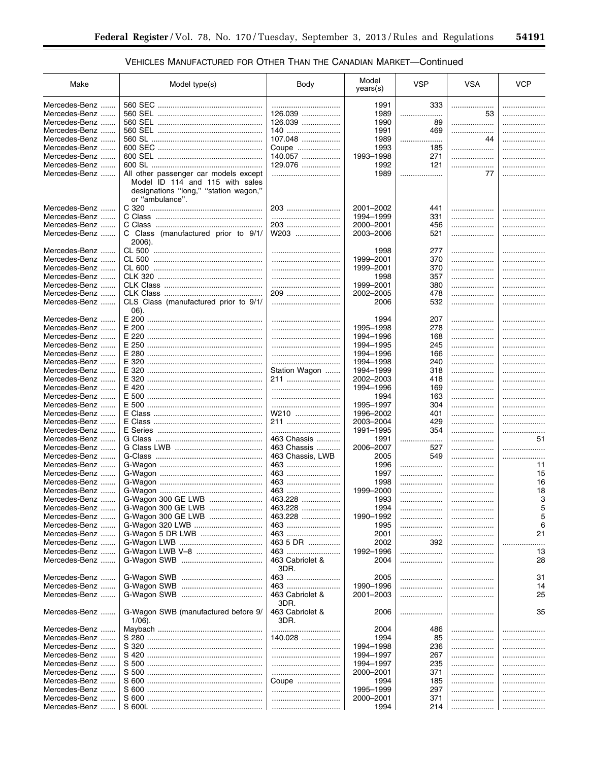▀

| Make           | Model type(s)                                                                               | Body                    | Model<br>years(s) | <b>VSP</b> | <b>VSA</b> | <b>VCP</b>               |
|----------------|---------------------------------------------------------------------------------------------|-------------------------|-------------------|------------|------------|--------------------------|
| Mercedes-Benz  |                                                                                             |                         | 1991              | 333        |            |                          |
| Mercedes-Benz  |                                                                                             | 126.039                 | 1989              |            | 53         | .                        |
| Mercedes-Benz  |                                                                                             | 126.039                 | 1990              | 89         |            | .                        |
|                |                                                                                             |                         |                   |            |            |                          |
| Mercedes-Benz  |                                                                                             | 140                     | 1991              | 469        | .          | .                        |
| Mercedes-Benz  |                                                                                             | 107.048                 | 1989              |            | 44         | .                        |
| Mercedes-Benz  |                                                                                             | Coupe                   | 1993              | 185        | .          | .                        |
| Mercedes-Benz  |                                                                                             | 140.057                 | 1993-1998         | 271        | .          | .                        |
| Mercedes-Benz  |                                                                                             | 129.076                 | 1992              | 121        | .          | .                        |
| Mercedes-Benz  | All other passenger car models except                                                       |                         | 1989              | .          | 77         | .                        |
|                | Model ID 114 and 115 with sales<br>designations "long," "station wagon,"<br>or "ambulance". |                         |                   |            |            |                          |
| Mercedes-Benz  |                                                                                             | 203                     | 2001-2002         | 441        | .          |                          |
| Mercedes-Benz  |                                                                                             |                         | 1994-1999         | 331        | .          | .                        |
| Mercedes-Benz  |                                                                                             | 203                     | 2000-2001         | 456        | .          | .                        |
| Mercedes-Benz  | C Class (manufactured prior to 9/1/<br>2006).                                               | W203                    | 2003-2006         | 521        | .          | .                        |
| Mercedes-Benz  |                                                                                             |                         | 1998              | 277        | .          |                          |
|                |                                                                                             |                         |                   |            |            |                          |
| Mercedes-Benz  |                                                                                             |                         | 1999-2001         | 370        | .          | .                        |
| Mercedes-Benz  |                                                                                             |                         | 1999-2001         | 370        | .          | .                        |
| Mercedes-Benz  |                                                                                             |                         | 1998              | 357        |            | .                        |
| Mercedes-Benz  |                                                                                             |                         | 1999-2001         | 380        | .          |                          |
| Mercedes-Benz  |                                                                                             | 209                     | 2002-2005         | 478        | .          | .                        |
| Mercedes-Benz  | CLS Class (manufactured prior to 9/1/<br>06).                                               |                         | 2006              | 532        | .          | .                        |
| Mercedes-Benz  | E 200                                                                                       |                         | 1994              | 207        | .          | .                        |
| Mercedes-Benz  | E 200                                                                                       |                         | 1995-1998         | 278        |            |                          |
| Mercedes-Benz  |                                                                                             |                         | 1994-1996         | 168        |            | .                        |
| Mercedes-Benz  |                                                                                             |                         | 1994-1995         | 245        |            | .                        |
| Mercedes-Benz  |                                                                                             |                         | 1994-1996         | 166        |            | .                        |
| Mercedes-Benz  |                                                                                             |                         | 1994-1998         | 240        |            | .                        |
| Mercedes-Benz  |                                                                                             |                         | 1994-1999         | 318        |            |                          |
|                |                                                                                             | Station Wagon           |                   |            |            | .                        |
| Mercedes-Benz  |                                                                                             | 211                     | 2002-2003         | 418        |            | .                        |
| Mercedes-Benz  |                                                                                             |                         | 1994-1996         | 169        |            | .                        |
| Mercedes-Benz  |                                                                                             |                         | 1994              | 163        |            | .                        |
| Mercedes-Benz  |                                                                                             |                         | 1995-1997         | 304        | .          | .                        |
| Mercedes-Benz  |                                                                                             | W210                    | 1996-2002         | 401        | .          | .                        |
| Mercedes-Benz  |                                                                                             | 211                     | 2003-2004         | 429        | .          | .                        |
| Mercedes-Benz  |                                                                                             |                         | 1991-1995         | 354        | .          | .                        |
| Mercedes-Benz  |                                                                                             | 463 Chassis             | 1991              |            | .          | 51                       |
| Mercedes-Benz  |                                                                                             | 463 Chassis             | 2006-2007         | 527        | .          | .                        |
| Mercedes-Benz  |                                                                                             | 463 Chassis, LWB        | 2005              | 549        | .          |                          |
| Mercedes-Benz  |                                                                                             | 463                     | 1996              | .          | .          | 11                       |
| Mercedes-Benz  |                                                                                             |                         | 1997              |            |            | 15                       |
| Mercedes-Benz  |                                                                                             | 463                     | 1998              |            |            | 16                       |
| Mercedes-Benz  |                                                                                             | 463                     | 1999-2000         |            |            | 18                       |
| Mercedes-Benz  | G-Wagon 300 GE LWB                                                                          | 463.228                 | 1993              |            |            | 3                        |
| Mercedes-Benz  | G-Wagon 300 GE LWB                                                                          | 463.228                 | 1994              | .          |            | 5                        |
| Mercedes-Benz. |                                                                                             | 463.228                 |                   |            |            | 5                        |
| Mercedes-Benz  |                                                                                             |                         | 1990-1992         | .          |            |                          |
|                |                                                                                             | 463                     | 1995              |            |            | 6                        |
| Mercedes-Benz  | G-Wagon 5 DR LWB                                                                            | 463                     | 2001              | .          |            | 21                       |
| Mercedes-Benz  |                                                                                             | 463 5 DR                | 2002              | 392        | .          |                          |
| Mercedes-Benz. |                                                                                             | 463                     | 1992-1996         | .          |            | 13                       |
| Mercedes-Benz  |                                                                                             | 463 Cabriolet &<br>3DR. | 2004              | .          |            | 28                       |
| Mercedes-Benz  |                                                                                             | 463                     | 2005              | .          |            | 31                       |
| Mercedes-Benz. | G-Wagon SWB                                                                                 | 463                     | 1990-1996         |            |            | 14                       |
| Mercedes-Benz  |                                                                                             | 463 Cabriolet &<br>3DR. | 2001-2003         | .          |            | 25                       |
| Mercedes-Benz  | G-Wagon SWB (manufactured before 9/<br>$1/06$ ).                                            | 463 Cabriolet &<br>3DR. | 2006              |            |            | 35                       |
| Mercedes-Benz  |                                                                                             |                         | 2004              | 486        |            |                          |
| Mercedes-Benz  | S 280                                                                                       | 140.028                 | 1994              | 85         | .          |                          |
| Mercedes-Benz  |                                                                                             |                         | 1994-1998         | 236        |            |                          |
| Mercedes-Benz  | S 420                                                                                       |                         | 1994-1997         | 267        |            |                          |
| Mercedes-Benz  |                                                                                             |                         | 1994-1997         | 235        | .          |                          |
|                |                                                                                             |                         |                   |            |            |                          |
| Mercedes-Benz  |                                                                                             |                         | 2000–2001         | 371        |            |                          |
| Mercedes-Benz  |                                                                                             | Coupe                   | 1994              | 185        |            | .                        |
| Mercedes-Benz  |                                                                                             |                         | 1995-1999         | 297        |            | .                        |
| Mercedes-Benz  |                                                                                             |                         | 2000-2001         | 371        |            | $\overline{\phantom{a}}$ |
| Mercedes-Benz  |                                                                                             |                         | 1994              | 214        |            |                          |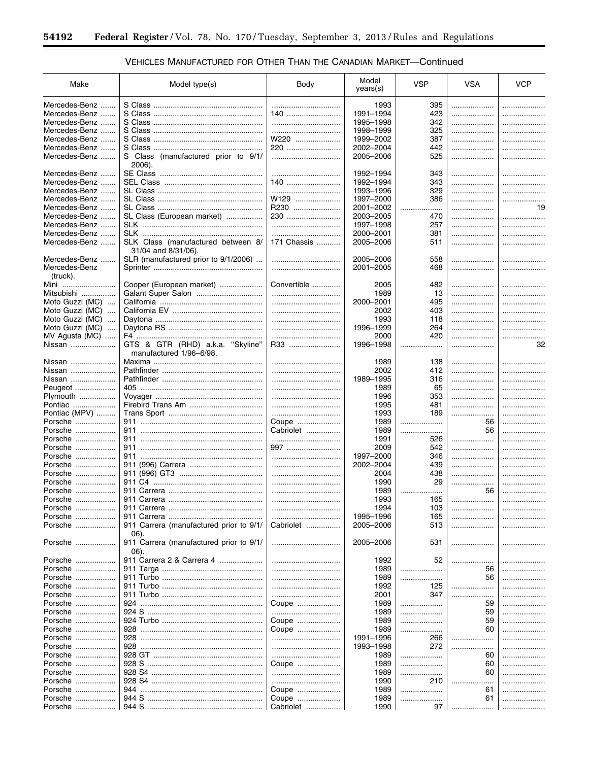-

# VEHICLES MANUFACTURED FOR OTHER THAN THE CANADIAN MARKET-Continued

۲

| Make                        | Model type(s)                           | Body        | Model<br>years(s) | <b>VSP</b> | <b>VSA</b> | <b>VCP</b> |
|-----------------------------|-----------------------------------------|-------------|-------------------|------------|------------|------------|
| Mercedes-Benz               |                                         |             | 1993              | 395        |            | .          |
| Mercedes-Benz               |                                         | 140         | 1991-1994         | 423        |            | .          |
| Mercedes-Benz               |                                         |             | 1995-1998         | 342        |            |            |
| Mercedes-Benz               |                                         |             | 1998-1999         | 325        |            |            |
|                             |                                         |             |                   |            |            | .          |
| Mercedes-Benz               |                                         | W220        | 1999-2002         | 387        | .          |            |
| Mercedes-Benz               |                                         | 220         | 2002-2004         | 442        | .          |            |
| Mercedes-Benz               | S Class (manufactured prior to 9/1/     |             | 2005-2006         | 525        | .          |            |
|                             | 2006).                                  |             |                   |            |            |            |
| Mercedes-Benz               |                                         |             | 1992-1994         | 343        | .          |            |
| Mercedes-Benz               |                                         | 140         | 1992-1994         | 343        | .          |            |
| Mercedes-Benz               |                                         |             | 1993-1996         | 329        | .          |            |
| Mercedes-Benz               |                                         | W129        | 1997-2000         | 386        | .          | .          |
| Mercedes-Benz               |                                         | R230        | 2001-2002         |            |            | 19         |
|                             |                                         |             |                   | .<br>.     |            |            |
| Mercedes-Benz               | SL Class (European market)              | 230         | 2003-2005         | 470        |            |            |
| Mercedes-Benz               |                                         |             | 1997-1998         | 257        | .          |            |
| Mercedes-Benz               |                                         |             | 2000-2001         | 381        |            | .          |
| Mercedes-Benz               | SLK Class (manufactured between 8/      | 171 Chassis | 2005-2006         | 511        | .          |            |
|                             | 31/04 and 8/31/06).                     |             |                   |            |            |            |
| Mercedes-Benz<br>.          | SLR (manufactured prior to 9/1/2006)    |             | 2005-2006         | 558        |            |            |
| Mercedes-Benz               |                                         |             | 2001-2005         | 468        |            | .          |
| (truck).                    |                                         |             |                   |            |            |            |
|                             |                                         |             |                   |            |            |            |
| Mini                        | Cooper (European market)                | Convertible | 2005              | 482        |            |            |
| Mitsubishi                  |                                         |             | 1989              | 13         | .          |            |
| Moto Guzzi (MC)<br>$\cdots$ |                                         |             | 2000-2001         | 495        | .          |            |
| Moto Guzzi (MC)             |                                         |             | 2002              | 403        | .          |            |
| Moto Guzzi (MC)             |                                         |             | 1993              | 118        | .          |            |
| Moto Guzzi (MC)             |                                         |             | 1996-1999         | 264        |            |            |
| MV Agusta (MC)              |                                         |             | 2000              | 420        |            |            |
|                             |                                         |             | 1996-1998         |            | .          |            |
| Nissan                      | GTS & GTR (RHD) a.k.a. "Skyline"        | R33         |                   | .          |            | 32         |
|                             | manufactured 1/96–6/98.                 |             |                   |            |            |            |
| Nissan                      |                                         |             | 1989              | 138        |            |            |
| Nissan                      |                                         |             | 2002              | 412        |            |            |
| Nissan                      |                                         |             | 1989-1995         | 316        |            |            |
| Peugeot                     |                                         |             | 1989              | 65         |            | .          |
| Plymouth                    |                                         |             | 1996              | 353        | .          | .          |
| Pontiac                     |                                         |             | 1995              | 481        |            |            |
|                             |                                         |             |                   |            |            | .          |
| Pontiac (MPV)               |                                         |             | 1993              | 189        |            | .          |
| Porsche                     |                                         | Coupe       | 1989              |            | 56         | .          |
| Porsche                     |                                         | Cabriolet   | 1989              |            | 56         | .          |
| Porsche                     |                                         |             | 1991              | 526        |            |            |
| Porsche                     |                                         | 997         | 2009              | 542        |            | .          |
| Porsche                     |                                         |             | 1997-2000         | 346        | .          |            |
| Porsche                     |                                         |             | 2002-2004         | 439        | .          | .          |
|                             |                                         |             |                   |            |            |            |
| Porsche                     |                                         |             | 2004              | 438        |            |            |
| Porsche                     |                                         |             | 1990              | 29         | .          | .          |
| Porsche                     |                                         |             | 1989              | .          | 56         | .          |
| Porsche                     | 911 Carrera                             |             | 1993              | 165        |            |            |
| Porsche                     |                                         |             | 1994              | 103        |            |            |
| Porsche                     |                                         |             | 1995-1996         | 165        |            | .          |
| Porsche                     | 911 Carrera (manufactured prior to 9/1/ | Cabriolet   | 2005-2006         | 513        |            | .          |
|                             | 06).                                    |             |                   |            |            |            |
|                             |                                         |             |                   |            |            |            |
| Porsche                     | 911 Carrera (manufactured prior to 9/1/ |             | 2005-2006         | 531        |            |            |
|                             | 06).                                    |             |                   |            |            |            |
| Porsche                     | 911 Carrera 2 & Carrera 4               |             | 1992              | 52         |            |            |
| Porsche                     |                                         |             | 1989              | .          | 56         | .          |
| Porsche                     |                                         |             | 1989              | .          | 56         | .          |
| Porsche                     |                                         |             | 1992              | 125        |            | .          |
| Porsche                     |                                         |             | 2001              | 347        |            | .          |
| Porsche                     |                                         |             |                   |            | 59         |            |
|                             |                                         | Coupe       | 1989              |            |            | .          |
| Porsche                     |                                         |             | 1989              |            | 59         | .          |
| Porsche                     |                                         | Coupe       | 1989              |            | 59         |            |
| Porsche                     |                                         | Coupe       | 1989              |            | 60         | .          |
| Porsche                     |                                         |             | 1991-1996         | 266        |            | .          |
| Porsche                     |                                         |             | 1993-1998         | 272        | .          | .          |
| Porsche                     |                                         |             | 1989              |            | 60         | .          |
| Porsche                     |                                         |             |                   |            | 60         |            |
|                             |                                         | Coupe       | 1989              |            |            | .          |
| Porsche                     |                                         |             | 1989              | .          | 60         | .          |
| Porsche                     |                                         |             | 1990              | 210        | .          | .          |
| Porsche                     |                                         | Coupe       | 1989              |            | 61         | .          |
| Porsche                     |                                         | Coupe       | 1989              | .          | 61         | .          |
| Porsche                     |                                         | Cabriolet   | 1990              | 97         |            |            |
|                             |                                         |             |                   |            |            |            |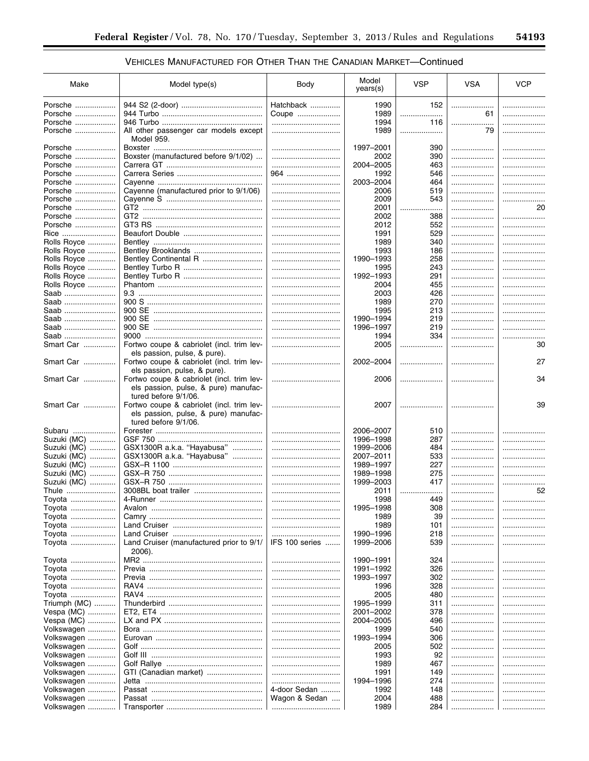| Make                | Model type(s)                                                                                                                     | Body               | Model<br>years(s) | <b>VSP</b> | <b>VSA</b> | <b>VCP</b> |
|---------------------|-----------------------------------------------------------------------------------------------------------------------------------|--------------------|-------------------|------------|------------|------------|
| Porsche             |                                                                                                                                   | Hatchback          | 1990              | 152        | .          |            |
| Porsche             |                                                                                                                                   | Coupe              | 1989              |            | 61         |            |
| Porsche             |                                                                                                                                   |                    | 1994              | 116        | .          |            |
| Porsche             | All other passenger car models except                                                                                             |                    | 1989              | .          | 79         | .          |
|                     | Model 959.                                                                                                                        |                    |                   |            |            |            |
| Porsche             |                                                                                                                                   |                    | 1997-2001         | 390        |            | .          |
| Porsche             | Boxster (manufactured before 9/1/02)                                                                                              |                    | 2002              | 390        | .          |            |
| Porsche             |                                                                                                                                   |                    | 2004-2005         | 463        | .          |            |
| Porsche             |                                                                                                                                   | 964                | 1992              | 546        | .          |            |
| Porsche             |                                                                                                                                   |                    | 2003-2004         | 464        | .          |            |
| Porsche             | Cayenne (manufactured prior to 9/1/06)                                                                                            |                    | 2006              | 519        | .          | .          |
| Porsche             |                                                                                                                                   |                    | 2009              | 543        | .          |            |
| Porsche             |                                                                                                                                   |                    | 2001              | .<br>      |            | 20         |
| Porsche             |                                                                                                                                   |                    | 2002              | 388        | .          |            |
| Porsche             |                                                                                                                                   |                    | 2012              | 552        | .          |            |
| Rice                |                                                                                                                                   |                    | 1991              | 529        | .          |            |
| Rolls Royce         |                                                                                                                                   |                    | 1989              | 340        | .          |            |
| <b>Rolls Royce </b> |                                                                                                                                   |                    | 1993              | 186        | .          |            |
| Rolls Royce         | Bentley Continental R                                                                                                             |                    | 1990-1993         | 258        |            |            |
| Rolls Royce         |                                                                                                                                   |                    | 1995              | 243        | .          |            |
| Rolls Royce         |                                                                                                                                   |                    | 1992-1993         | 291        | .          | .          |
| Rolls Royce         |                                                                                                                                   |                    | 2004              | 455        | .          |            |
| Saab                |                                                                                                                                   |                    | 2003              | 426        |            |            |
| Saab                |                                                                                                                                   |                    | 1989              | 270        |            |            |
| Saab                |                                                                                                                                   |                    | 1995              | 213        |            |            |
| Saab                |                                                                                                                                   |                    | 1990-1994         | 219        | .          |            |
| Saab                |                                                                                                                                   |                    | 1996-1997         | 219        | .          |            |
| Saab                |                                                                                                                                   |                    | 1994              | 334        | .          | .          |
| Smart Car           | Fortwo coupe & cabriolet (incl. trim lev-<br>els passion, pulse, & pure).                                                         |                    | 2005              |            |            | 30         |
| Smart Car           | Fortwo coupe & cabriolet (incl. trim lev-<br>els passion, pulse, & pure).                                                         |                    | 2002-2004         |            |            | 27         |
| Smart Car           | Fortwo coupe & cabriolet (incl. trim lev-<br>els passion, pulse, & pure) manufac-                                                 |                    | 2006              |            |            | 34         |
| Smart Car           | tured before 9/1/06.<br>Fortwo coupe & cabriolet (incl. trim lev-<br>els passion, pulse, & pure) manufac-<br>tured before 9/1/06. |                    | 2007              |            |            | 39         |
| Subaru              |                                                                                                                                   |                    | 2006-2007         | 510        |            |            |
| Suzuki (MC)         |                                                                                                                                   | <br>               | 1996-1998         | 287        |            |            |
| Suzuki (MC)         | GSX1300R a.k.a. "Hayabusa"                                                                                                        |                    | 1999-2006         | 484        | .          |            |
| Suzuki (MC)         | GSX1300R a.k.a. "Hayabusa"                                                                                                        | <br>               | 2007-2011         | 533        | .          | <br>.      |
| Suzuki (MC)         |                                                                                                                                   |                    | 1989-1997         | 227        | .          |            |
| Suzuki (MC)         |                                                                                                                                   |                    | 1989-1998         | 275        |            | <br>.      |
| Suzuki (MC)         |                                                                                                                                   |                    | 1999-2003         | 417        | .          |            |
|                     |                                                                                                                                   |                    | 2011              |            |            | <br>52     |
| Thule<br>Toyota     |                                                                                                                                   |                    | 1998              | .<br>449   | .          |            |
|                     |                                                                                                                                   |                    | 1995-1998         |            |            |            |
| Toyota              |                                                                                                                                   |                    |                   | 308        |            |            |
| Toyota<br>Toyota    |                                                                                                                                   |                    | 1989<br>1989      | 39<br>101  | <br>.      |            |
| Toyota              |                                                                                                                                   |                    | 1990-1996         | 218        |            |            |
| Toyota              | Land Cruiser<br>.<br>Land Cruiser (manufactured prior to 9/1/                                                                     | <br>IFS 100 series | 1999-2006         | 539        | <br>.      |            |
|                     | 2006).                                                                                                                            |                    | 1990-1991         | 324        |            |            |
| Toyota              |                                                                                                                                   |                    |                   |            | .          |            |
| Toyota              |                                                                                                                                   |                    | 1991-1992         | 326        | .          |            |
| Toyota              |                                                                                                                                   |                    | 1993-1997         | 302        | .          |            |
| Toyota              |                                                                                                                                   |                    | 1996              | 328        |            |            |
| Toyota              |                                                                                                                                   |                    | 2005              | 480        |            |            |
| Triumph (MC)        |                                                                                                                                   |                    | 1995-1999         | 311        |            |            |
| Vespa (MC)          |                                                                                                                                   |                    | 2001-2002         | 378        |            |            |
| Vespa (MC)          |                                                                                                                                   |                    | 2004-2005         | 496        |            |            |
| Volkswagen          |                                                                                                                                   |                    | 1999              | 540        |            |            |
| Volkswagen          |                                                                                                                                   |                    | 1993-1994         | 306        |            |            |
| Volkswagen          |                                                                                                                                   |                    | 2005              | 502        | .          |            |
| Volkswagen          |                                                                                                                                   |                    | 1993              | 92         |            |            |
| Volkswagen          |                                                                                                                                   |                    | 1989              | 467        | .          | .          |
| Volkswagen          | GTI (Canadian market)                                                                                                             |                    | 1991              | 149        |            |            |
| Volkswagen          |                                                                                                                                   |                    | 1994-1996         | 274        | .          |            |
| Volkswagen          |                                                                                                                                   | 4-door Sedan       | 1992              | 148        |            | .          |
| Volkswagen          |                                                                                                                                   | Wagon & Sedan      | 2004              | 488        |            | .          |
| Volkswagen          |                                                                                                                                   |                    | 1989              | 284        |            |            |